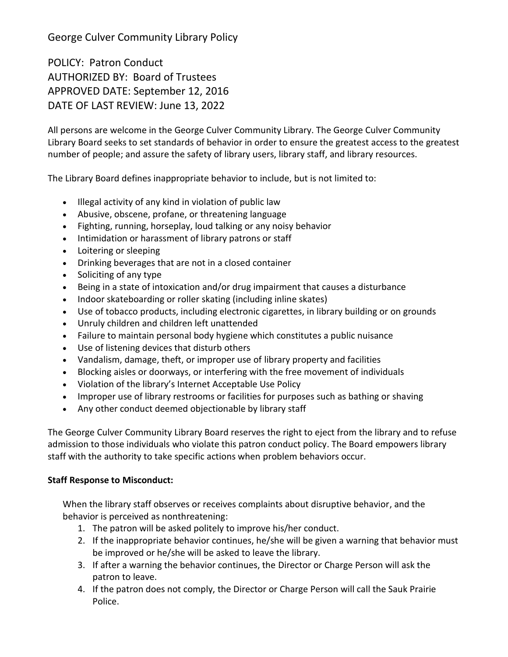George Culver Community Library Policy

POLICY: Patron Conduct AUTHORIZED BY: Board of Trustees APPROVED DATE: September 12, 2016 DATE OF LAST REVIEW: June 13, 2022

All persons are welcome in the George Culver Community Library. The George Culver Community Library Board seeks to set standards of behavior in order to ensure the greatest access to the greatest number of people; and assure the safety of library users, library staff, and library resources.

The Library Board defines inappropriate behavior to include, but is not limited to:

- Illegal activity of any kind in violation of public law
- Abusive, obscene, profane, or threatening language
- Fighting, running, horseplay, loud talking or any noisy behavior
- Intimidation or harassment of library patrons or staff
- Loitering or sleeping
- Drinking beverages that are not in a closed container
- Soliciting of any type
- Being in a state of intoxication and/or drug impairment that causes a disturbance
- Indoor skateboarding or roller skating (including inline skates)
- Use of tobacco products, including electronic cigarettes, in library building or on grounds
- Unruly children and children left unattended
- Failure to maintain personal body hygiene which constitutes a public nuisance
- Use of listening devices that disturb others
- Vandalism, damage, theft, or improper use of library property and facilities
- Blocking aisles or doorways, or interfering with the free movement of individuals
- Violation of the library's Internet Acceptable Use Policy
- Improper use of library restrooms or facilities for purposes such as bathing or shaving
- Any other conduct deemed objectionable by library staff

The George Culver Community Library Board reserves the right to eject from the library and to refuse admission to those individuals who violate this patron conduct policy. The Board empowers library staff with the authority to take specific actions when problem behaviors occur.

## **Staff Response to Misconduct:**

When the library staff observes or receives complaints about disruptive behavior, and the behavior is perceived as nonthreatening:

- 1. The patron will be asked politely to improve his/her conduct.
- 2. If the inappropriate behavior continues, he/she will be given a warning that behavior must be improved or he/she will be asked to leave the library.
- 3. If after a warning the behavior continues, the Director or Charge Person will ask the patron to leave.
- 4. If the patron does not comply, the Director or Charge Person will call the Sauk Prairie Police.